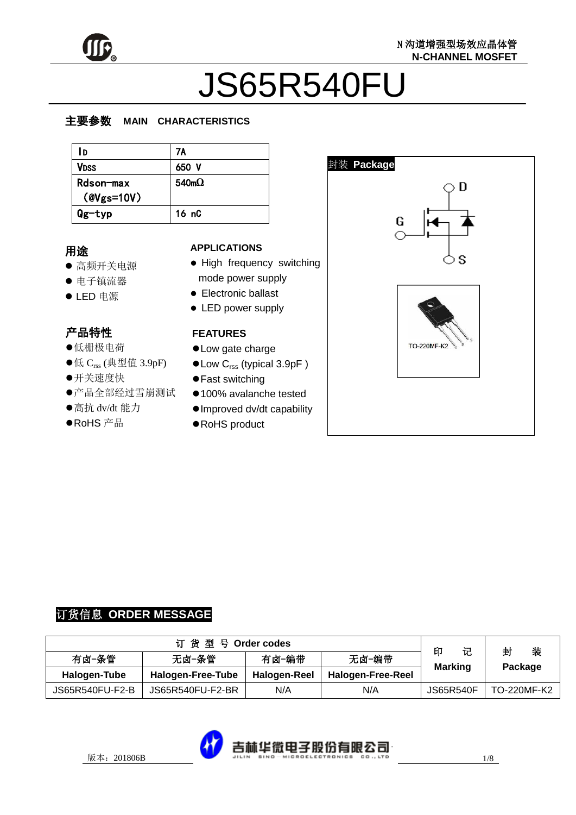

# JS65R540FU

#### z  $\overline{\phantom{a}}$ 主要参数 **MAIN CHARACTERISTICS**

| ١D                            | 7A                |
|-------------------------------|-------------------|
| <b>VDSS</b>                   | 650 V             |
| Rdson-max<br>$($ @Vgs=10V $)$ | 540m <sub>o</sub> |
| Qg-typ                        | 16 nC             |

#### 用途

- 高频开关电源
- 电子镇流器
- LED 电源

# 产品特性

- , 〓【,】<br>●低栅极电荷
- ●低  $C_{\text{rss}}$  (典型值 3.9pF)
- ●<br>开关速度快
- ●产品全部经过雪崩测试
- ●高抗 dv/dt 能力
- بدا<br>انت  $\overline{\phantom{0}}$ ●RoHS 产品

#### **APPLICATIONS**

- High frequency switching mode power supply
- **•** Electronic ballast
- LED power supply

#### **FEATURES**

- Low gate charge
- Low C<sub>rss</sub> (typical 3.9pF)
- Fast switching
- 100% avalanche tested
- Improved dv/dt capability
- RoHS product



# 订货信息 **ORDER MESSAGE**

| 订货型号 Order codes |                   |              |                          |                          | 装<br>封      |
|------------------|-------------------|--------------|--------------------------|--------------------------|-------------|
| 有卤-条管            | 无卤-条管             | 有卤-编带        | 无卤-编带                    | 记<br>印<br><b>Marking</b> | Package     |
| Halogen-Tube     | Halogen-Free-Tube | Halogen-Reel | <b>Halogen-Free-Reel</b> |                          |             |
| JS65R540FU-F2-B  | JS65R540FU-F2-BR  | N/A          | N/A                      | JS65R540F                | TO-220MF-K2 |

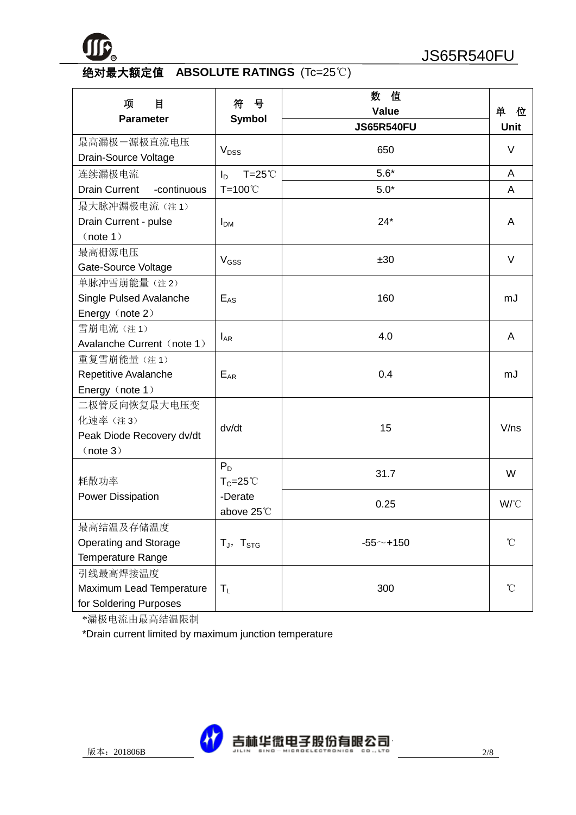

# 绝对最大额定值 **ABSOLUTE RATINGS** (Tc=25℃)

| 项<br>目<br><b>Parameter</b>                                       | 号<br>符<br><b>Symbol</b>     | 数<br>值<br><b>Value</b> | 单<br>位      |
|------------------------------------------------------------------|-----------------------------|------------------------|-------------|
|                                                                  |                             | <b>JS65R540FU</b>      | <b>Unit</b> |
| 最高漏极一源极直流电压<br>Drain-Source Voltage                              | V <sub>DSS</sub>            | 650                    | V           |
| 连续漏极电流                                                           | $T = 25^{\circ}$<br>$I_D$   | $5.6*$                 | A           |
| <b>Drain Current</b><br>-continuous                              | $T=100^{\circ}$             | $5.0*$                 | A           |
| 最大脉冲漏极电流(注1)<br>Drain Current - pulse<br>(note 1)                | I <sub>DM</sub>             | $24*$                  | A           |
| 最高栅源电压<br>Gate-Source Voltage                                    | $V$ <sub>GSS</sub>          | ±30                    | $\vee$      |
| 单脉冲雪崩能量(注2)<br>Single Pulsed Avalanche<br>Energy (note 2)        | $E_{AS}$                    | 160                    | mJ          |
| 雪崩电流 (注1)<br>Avalanche Current (note 1)                          | $I_{AR}$                    | 4.0                    | A           |
| 重复雪崩能量(注1)<br>Repetitive Avalanche<br>Energy (note 1)            | $\mathsf{E}_{\mathsf{AR}}$  | 0.4                    | mJ          |
| 二极管反向恢复最大电压变<br>化速率(注3)<br>Peak Diode Recovery dv/dt<br>(note 3) | dv/dt                       | 15                     | V/ns        |
| 耗散功率                                                             | $P_D$<br>$T_c = 25^{\circ}$ | 31.7                   | W           |
| <b>Power Dissipation</b>                                         | -Derate<br>above 25°C       | 0.25                   | W/°C        |
| 最高结温及存储温度<br>Operating and Storage<br>Temperature Range          | $T_J$ , $T_{STG}$           | $-55 - +150$           | °C          |
| 引线最高焊接温度<br>Maximum Lead Temperature<br>for Soldering Purposes   | $T_{L}$                     | 300                    | °C          |

\*漏极电流由最高结温限制

\*Drain current limited by maximum junction temperature

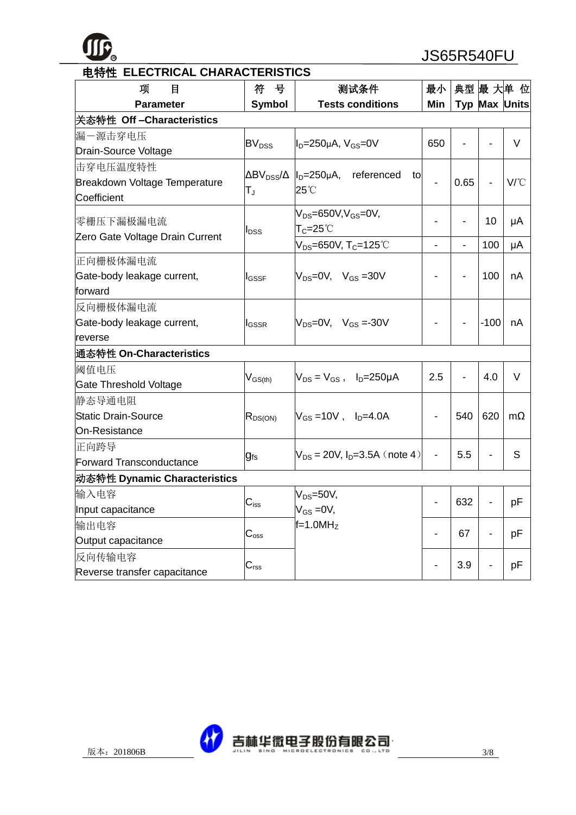**TTC** 

**<sup>R</sup>** JS65R540FU

| 项<br>目                                       | 符<br>号                  | 测试条件                                                                                  | 最小  |                          |                          | 典型 最 大单 位     |
|----------------------------------------------|-------------------------|---------------------------------------------------------------------------------------|-----|--------------------------|--------------------------|---------------|
| <b>Parameter</b>                             | <b>Symbol</b>           | <b>Tests conditions</b>                                                               | Min |                          |                          | Typ Max Units |
| 关态特性 Off-Characteristics                     |                         |                                                                                       |     |                          |                          |               |
| 漏一源击穿电压                                      |                         |                                                                                       |     |                          |                          |               |
| Drain-Source Voltage                         | <b>BV<sub>DSS</sub></b> | $I_D=250\mu A$ , $V_{GS}=0V$                                                          | 650 |                          |                          | V             |
| 击穿电压温度特性                                     |                         | $\Delta BV_{DSS}/\Delta$  l <sub>D</sub> =250µA, referenced<br>to                     |     |                          |                          |               |
| Breakdown Voltage Temperature<br>Coefficient | $T_{\rm J}$             | 25°C                                                                                  |     | 0.65                     |                          | $V^{\circ}C$  |
| 零栅压下漏极漏电流                                    | $I_{DSS}$               | $V_{DS} = 650V, V_{GS} = 0V,$<br>$\mathsf{T}_{\mathsf{C}}$ =25 $^\circ\!{\mathbb{C}}$ |     | $\overline{\phantom{a}}$ | 10                       | μA            |
| Zero Gate Voltage Drain Current              |                         | $V_{DS} = 650V$ , T <sub>C</sub> =125°C                                               |     |                          | 100                      | μA            |
| 正向栅极体漏电流                                     |                         |                                                                                       |     |                          |                          |               |
| Gate-body leakage current,                   | l <sub>GSSF</sub>       | $V_{DS}=0V$ , $V_{GS}=30V$                                                            |     | $\blacksquare$           | 100                      | nA            |
| forward                                      |                         |                                                                                       |     |                          |                          |               |
| 反向栅极体漏电流                                     |                         |                                                                                       |     |                          |                          |               |
| Gate-body leakage current,                   | <b>I</b> GSSR           | $V_{DS} = 0V$ , $V_{GS} = -30V$                                                       |     |                          | $-100$                   | nA            |
| reverse                                      |                         |                                                                                       |     |                          |                          |               |
| 通态特性 On-Characteristics                      |                         |                                                                                       |     |                          |                          |               |
| 阈值电压                                         |                         | $V_{DS} = V_{GS}$ , $I_D = 250 \mu A$                                                 | 2.5 | $\blacksquare$           | 4.0                      | V             |
| <b>Gate Threshold Voltage</b>                | $V_{GS(th)}$            |                                                                                       |     |                          |                          |               |
| 静态导通电阻                                       |                         |                                                                                       |     |                          |                          |               |
| <b>Static Drain-Source</b>                   | $R_{DS(ON)}$            | $V_{GS} = 10V$ , $I_{D} = 4.0A$                                                       |     | 540                      | 620                      | $m\Omega$     |
| On-Resistance                                |                         |                                                                                       |     |                          |                          |               |
| 正向跨导                                         |                         | $V_{DS}$ = 20V, $I_{D}$ =3.5A (note 4)                                                |     | 5.5                      |                          | S             |
| <b>Forward Transconductance</b>              | $g_{fs}$                |                                                                                       |     |                          |                          |               |
| 动态特性 Dynamic Characteristics                 |                         |                                                                                       |     |                          |                          |               |
| 输入电容                                         | $\mathrm{C_{iss}}$      | $V_{DS} = 50V$ ,                                                                      |     | 632                      |                          | pF            |
| Input capacitance                            |                         | $V_{GS} = 0V$ ,                                                                       |     |                          |                          |               |
| 输出电容                                         | $C_{\rm oss}$           | $f=1.0MHz$                                                                            |     | 67                       | $\overline{\phantom{a}}$ | pF            |
| Output capacitance                           |                         |                                                                                       |     |                          |                          |               |
| 反向传输电容<br>Reverse transfer capacitance       | $C_{\text{rss}}$        |                                                                                       |     | 3.9                      |                          | pF            |



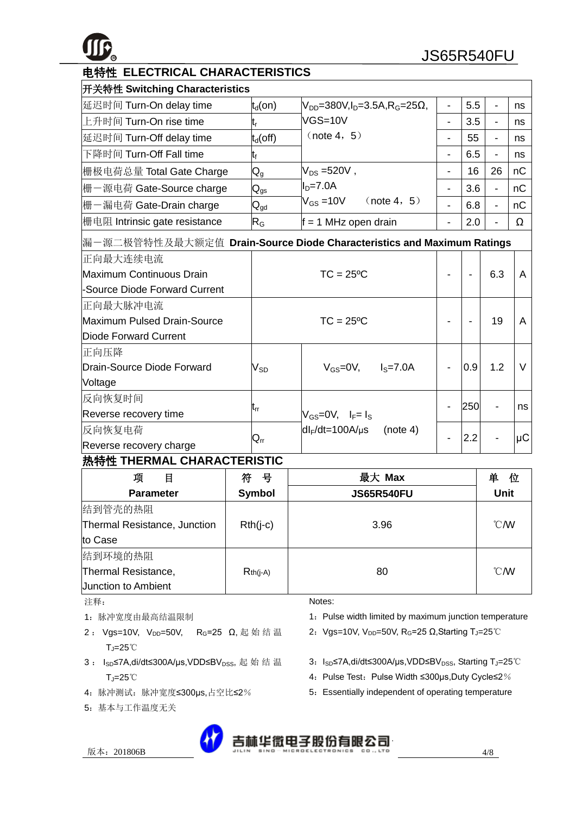

|  | 电特性 ELECTRICAL CHARACTERISTICS |
|--|--------------------------------|
|--|--------------------------------|

| 开关特性 Switching Characteristics |                            |                                                            |   |     |    |    |  |  |
|--------------------------------|----------------------------|------------------------------------------------------------|---|-----|----|----|--|--|
| 延迟时间 Turn-On delay time        | $ t_{d}$ (on)              | $V_{DD}$ =380V, I <sub>D</sub> =3.5A, R <sub>G</sub> =25Ω, |   | 5.5 |    | ns |  |  |
| 上升时间 Turn-On rise time         | t,                         | $VGS=10V$                                                  |   | 3.5 |    | ns |  |  |
| 延迟时间 Turn-Off delay time       | $t_d$ (off)                | (note 4, 5)                                                |   | 55  |    | ns |  |  |
| 下降时间 Turn-Off Fall time        | t <sub>f</sub>             |                                                            |   | 6.5 |    | ns |  |  |
| 栅极电荷总量 Total Gate Charge       | $\mathsf{Q}_{\mathsf{q}}$  | $V_{DS} = 520V$ ,                                          | - | 16  | 26 | nC |  |  |
| 栅一源电荷 Gate-Source charge       | $\mathsf{Q}_{\mathsf{gs}}$ | $ID=7.0A$                                                  |   | 3.6 |    | пC |  |  |
| 栅一漏电荷 Gate-Drain charge        | $\mathsf{Q}_{\mathsf{gd}}$ | $V_{GS} = 10V$<br>(note 4, 5)                              |   | 6.8 |    | пC |  |  |
| 栅电阻 Intrinsic gate resistance  | $R_G$                      | $f = 1$ MHz open drain                                     |   | 2.0 |    | Ω  |  |  |

| 正向最大连续电流                      |                            |                                              |          |     |     |        |
|-------------------------------|----------------------------|----------------------------------------------|----------|-----|-----|--------|
| Maximum Continuous Drain      | $TC = 25°C$                |                                              |          |     | 6.3 | A      |
| -Source Diode Forward Current |                            |                                              |          |     |     |        |
| 正向最大脉冲电流                      |                            |                                              |          |     |     |        |
| Maximum Pulsed Drain-Source   | $TC = 25$ <sup>o</sup> $C$ |                                              |          |     | 19  | A      |
| Diode Forward Current         |                            |                                              |          |     |     |        |
| 正向压降                          |                            |                                              |          |     |     |        |
| Drain-Source Diode Forward    | V <sub>SD</sub>            | $V_{\text{GS}} = 0V$ , $I_{\text{S}} = 7.0A$ |          | 0.9 | 1.2 | $\vee$ |
| Voltage                       |                            |                                              |          |     |     |        |
| 反向恢复时间                        |                            |                                              |          |     |     |        |
| Reverse recovery time         | lt <sub>rr</sub>           | $V_{GS}=0V$ , $I_F=I_S$                      |          | 250 |     | ns     |
| 反向恢复电荷                        |                            | $dl_F/dt = 100A/\mu s$                       | (note 4) | 2.2 |     |        |
| Reverse recovery charge       | $Q_{rr}$                   |                                              |          |     |     | μC     |

#### 热特性 **THERMAL CHARACTERISTIC**

| 项<br>目                       | 뮥<br>符        | 最大 Max            | 单<br>位         |
|------------------------------|---------------|-------------------|----------------|
| <b>Parameter</b>             | <b>Symbol</b> | <b>JS65R540FU</b> | <b>Unit</b>    |
| 结到管壳的热阻                      |               |                   |                |
| Thermal Resistance, Junction | $Rth(i-c)$    | 3.96              | $^{\circ}$ CMV |
| to Case                      |               |                   |                |
| 结到环境的热阻                      |               |                   |                |
| Thermal Resistance,          | $Rth(i-A)$    | 80                | $^{\circ}$ CMV |
| <b>Junction to Ambient</b>   |               |                   |                |

注释:

- 1:脉冲宽度由最高结温限制
- 2: Vgs=10V, V<sub>DD</sub>=50V, R<sub>G</sub>=25 Ω, 起始结温 TJ=25℃
- 3 : I<sub>SD</sub>≤7A,di/dt≤300A/µs,VDD≤BV<sub>DSS</sub>, 起始结温 TJ=25℃
- 4:脉冲测试:脉冲宽度≤300μs,占空比≤2%
- 5:基本与工作温度无关

Notes:

- 1: Pulse width limited by maximum junction temperature
- 2: Vgs=10V, V<sub>DD</sub>=50V, R<sub>G</sub>=25 Ω,Starting T<sub>J</sub>=25°C
- 3: I<sub>SD</sub>≤7A,di/dt≤300A/µs,VDD≤BV<sub>DSS</sub>, Starting T<sub>J</sub>=25℃
- 4: Pulse Test: Pulse Width ≤300μs, Duty Cycle≤2%
- 5: Essentially independent of operating temperature
- 版本:201806B 4/8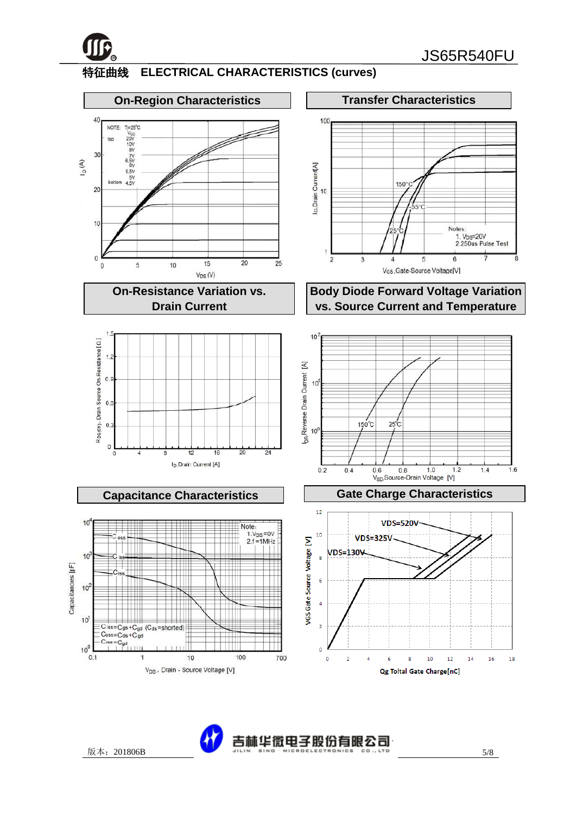

### 特征曲线 **ELECTRICAL CHARACTERISTICS (curves)**



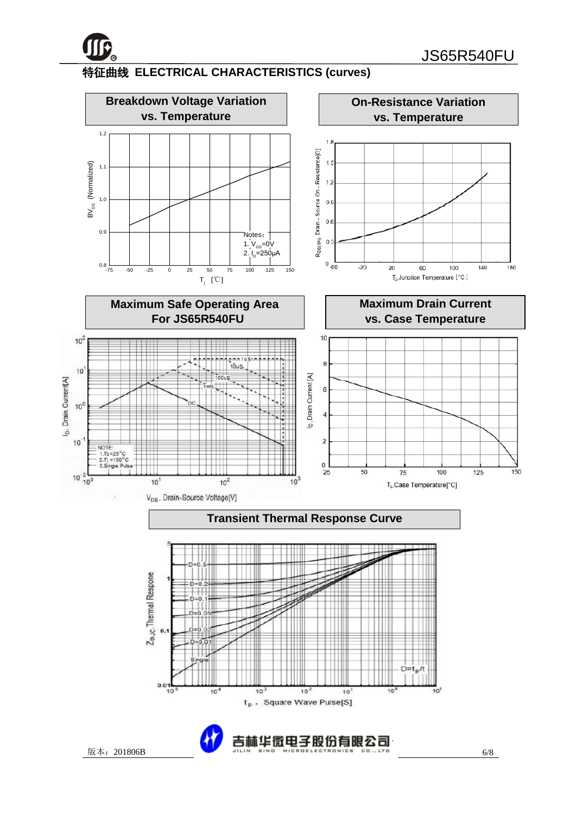

# 特征曲线 **ELECTRICAL CHARACTERISTICS (curves)**

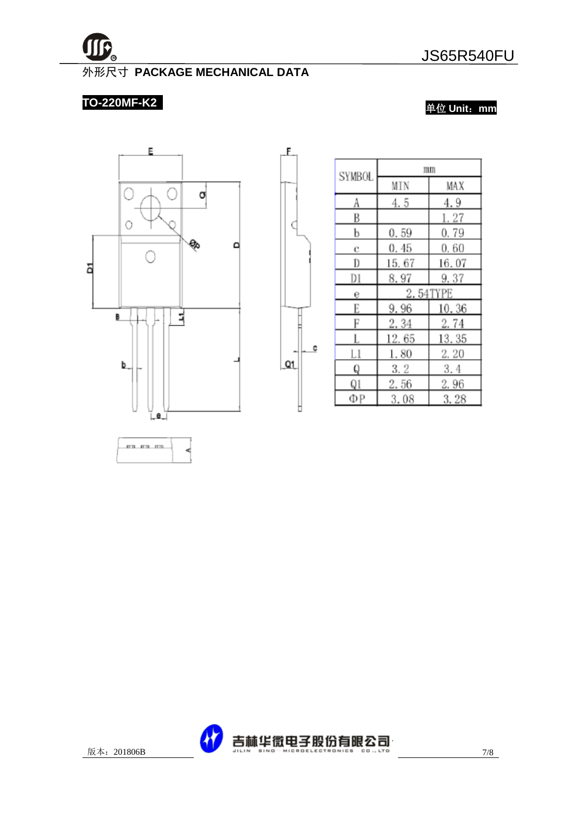

#### 外形尺寸 **PACKAGE MECHANICAL DATA**

£.

C

 $Q1$ 

Þ

#### **TO-220MF-K2**

单位 **Unit**:**mm**

3.28



|   | <b>SYMBOL</b> | mm     |          |  |  |
|---|---------------|--------|----------|--|--|
|   |               | MIN    | MAX      |  |  |
|   | A             | 4.5    | 4.9      |  |  |
|   | B             |        | 1.27     |  |  |
|   | b             | 0.59   | 0.79     |  |  |
|   | с             | 0.45   | 0.60     |  |  |
|   | D             | 15. 67 | 16.07    |  |  |
|   | D1            | 8.97   | 9.37     |  |  |
|   | 6             |        | 2.54TYPE |  |  |
|   | E             | 9.96   | 10.36    |  |  |
|   | F             | 2.34   | 2.74     |  |  |
|   | L             | 12.65  | 13.35    |  |  |
| C | Ll            | 1.80   | 2. 20    |  |  |
|   | Q             | 3. 2   | 3.4      |  |  |
|   | Q1            | 2.56   | 2.96     |  |  |
|   | ΦР            | 3.08   | 3.28     |  |  |